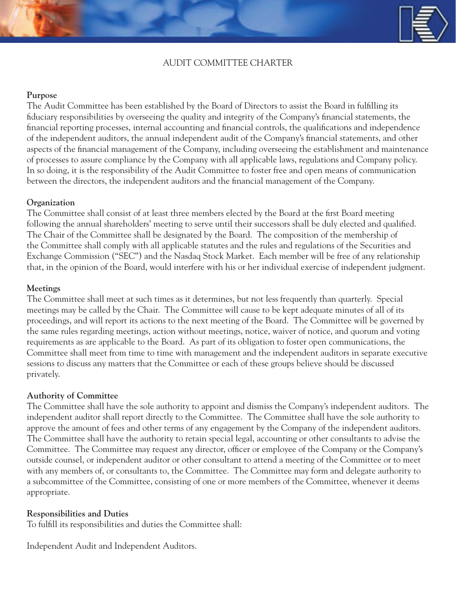# AUDIT COMMITTEE CHARTER

## **Purpose**

The Audit Committee has been established by the Board of Directors to assist the Board in fulfilling its fiduciary responsibilities by overseeing the quality and integrity of the Company's financial statements, the financial reporting processes, internal accounting and financial controls, the qualifications and independence of the independent auditors, the annual independent audit of the Company's financial statements, and other aspects of the financial management of the Company, including overseeing the establishment and maintenance of processes to assure compliance by the Company with all applicable laws, regulations and Company policy. In so doing, it is the responsibility of the Audit Committee to foster free and open means of communication between the directors, the independent auditors and the financial management of the Company.

## **Organization**

The Committee shall consist of at least three members elected by the Board at the first Board meeting following the annual shareholders' meeting to serve until their successors shall be duly elected and qualified. The Chair of the Committee shall be designated by the Board. The composition of the membership of the Committee shall comply with all applicable statutes and the rules and regulations of the Securities and Exchange Commission ("SEC") and the Nasdaq Stock Market. Each member will be free of any relationship that, in the opinion of the Board, would interfere with his or her individual exercise of independent judgment.

## **Meetings**

The Committee shall meet at such times as it determines, but not less frequently than quarterly. Special meetings may be called by the Chair. The Committee will cause to be kept adequate minutes of all of its proceedings, and will report its actions to the next meeting of the Board. The Committee will be governed by the same rules regarding meetings, action without meetings, notice, waiver of notice, and quorum and voting requirements as are applicable to the Board. As part of its obligation to foster open communications, the Committee shall meet from time to time with management and the independent auditors in separate executive sessions to discuss any matters that the Committee or each of these groups believe should be discussed privately.

### **Authority of Committee**

The Committee shall have the sole authority to appoint and dismiss the Company's independent auditors. The independent auditor shall report directly to the Committee. The Committee shall have the sole authority to approve the amount of fees and other terms of any engagement by the Company of the independent auditors. The Committee shall have the authority to retain special legal, accounting or other consultants to advise the Committee. The Committee may request any director, officer or employee of the Company or the Company's outside counsel, or independent auditor or other consultant to attend a meeting of the Committee or to meet with any members of, or consultants to, the Committee. The Committee may form and delegate authority to a subcommittee of the Committee, consisting of one or more members of the Committee, whenever it deems appropriate.

### **Responsibilities and Duties**

To fulfill its responsibilities and duties the Committee shall:

Independent Audit and Independent Auditors.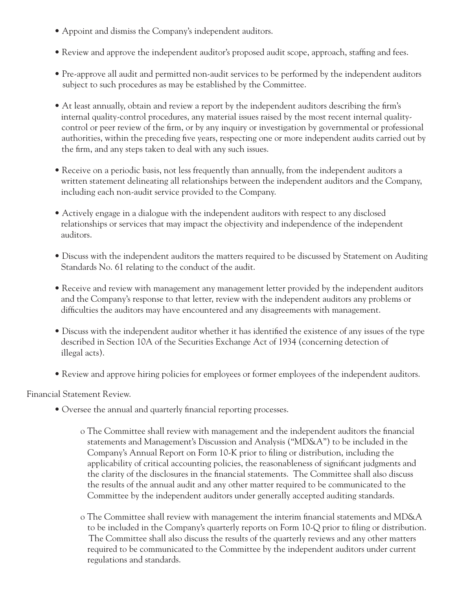- Appoint and dismiss the Company's independent auditors.
- Review and approve the independent auditor's proposed audit scope, approach, staffing and fees.
- Pre-approve all audit and permitted non-audit services to be performed by the independent auditors subject to such procedures as may be established by the Committee.
- At least annually, obtain and review a report by the independent auditors describing the firm's internal quality-control procedures, any material issues raised by the most recent internal quality control or peer review of the firm, or by any inquiry or investigation by governmental or professional authorities, within the preceding five years, respecting one or more independent audits carried out by the firm, and any steps taken to deal with any such issues.
- Receive on a periodic basis, not less frequently than annually, from the independent auditors a written statement delineating all relationships between the independent auditors and the Company, including each non-audit service provided to the Company.
- Actively engage in a dialogue with the independent auditors with respect to any disclosed relationships or services that may impact the objectivity and independence of the independent auditors.
- Discuss with the independent auditors the matters required to be discussed by Statement on Auditing Standards No. 61 relating to the conduct of the audit.
- Receive and review with management any management letter provided by the independent auditors and the Company's response to that letter, review with the independent auditors any problems or difficulties the auditors may have encountered and any disagreements with management.
- Discuss with the independent auditor whether it has identified the existence of any issues of the type described in Section 10A of the Securities Exchange Act of 1934 (concerning detection of illegal acts).
- Review and approve hiring policies for employees or former employees of the independent auditors.

Financial Statement Review.

- Oversee the annual and quarterly financial reporting processes.
	- o The Committee shall review with management and the independent auditors the financial statements and Management's Discussion and Analysis ("MD&A") to be included in the Company's Annual Report on Form 10-K prior to filing or distribution, including the applicability of critical accounting policies, the reasonableness of significant judgments and the clarity of the disclosures in the financial statements. The Committee shall also discuss the results of the annual audit and any other matter required to be communicated to the Committee by the independent auditors under generally accepted auditing standards.
	- o The Committee shall review with management the interim financial statements and MD&A to be included in the Company's quarterly reports on Form 10-Q prior to filing or distribution. The Committee shall also discuss the results of the quarterly reviews and any other matters required to be communicated to the Committee by the independent auditors under current regulations and standards.